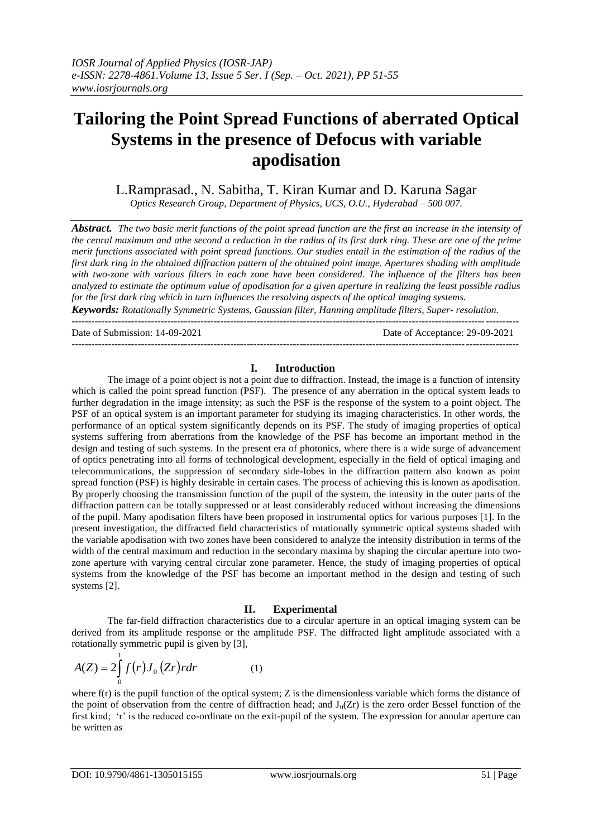# **Tailoring the Point Spread Functions of aberrated Optical Systems in the presence of Defocus with variable apodisation**

L.Ramprasad., N. Sabitha, T. Kiran Kumar and D. Karuna Sagar *Optics Research Group, Department of Physics, UCS, O.U., Hyderabad – 500 007.*

*Abstract. The two basic merit functions of the point spread function are the first an increase in the intensity of the cenral maximum and athe second a reduction in the radius of its first dark ring. These are one of the prime merit functions associated with point spread functions. Our studies entail in the estimation of the radius of the first dark ring in the obtained diffraction pattern of the obtained point image. Apertures shading with amplitude with two-zone with various filters in each zone have been considered. The influence of the filters has been analyzed to estimate the optimum value of apodisation for a given aperture in realizing the least possible radius* 

*for the first dark ring which in turn influences the resolving aspects of the optical imaging systems.* 

*Keywords: Rotationally Symmetric Systems, Gaussian filter, Hanning amplitude filters, Super- resolution.* ---------------------------------------------------------------------------------------------------------------------------------------

Date of Submission: 14-09-2021 Date of Acceptance: 29-09-2021

### **I. Introduction**

---------------------------------------------------------------------------------------------------------------------------------------

The image of a point object is not a point due to diffraction. Instead, the image is a function of intensity which is called the point spread function (PSF). The presence of any aberration in the optical system leads to further degradation in the image intensity; as such the PSF is the response of the system to a point object. The PSF of an optical system is an important parameter for studying its imaging characteristics. In other words, the performance of an optical system significantly depends on its PSF. The study of imaging properties of optical systems suffering from aberrations from the knowledge of the PSF has become an important method in the design and testing of such systems. In the present era of photonics, where there is a wide surge of advancement of optics penetrating into all forms of technological development, especially in the field of optical imaging and telecommunications, the suppression of secondary side-lobes in the diffraction pattern also known as point spread function (PSF) is highly desirable in certain cases. The process of achieving this is known as apodisation. By properly choosing the transmission function of the pupil of the system, the intensity in the outer parts of the diffraction pattern can be totally suppressed or at least considerably reduced without increasing the dimensions of the pupil. Many apodisation filters have been proposed in instrumental optics for various purposes [1]. In the present investigation, the diffracted field characteristics of rotationally symmetric optical systems shaded with the variable apodisation with two zones have been considered to analyze the intensity distribution in terms of the width of the central maximum and reduction in the secondary maxima by shaping the circular aperture into twozone aperture with varying central circular zone parameter. Hence, the study of imaging properties of optical systems from the knowledge of the PSF has become an important method in the design and testing of such systems [2].

## **II. Experimental**

The far-field diffraction characteristics due to a circular aperture in an optical imaging system can be derived from its amplitude response or the amplitude PSF. The diffracted light amplitude associated with a rotationally symmetric pupil is given by [3],

$$
A(Z) = 2\int_{0}^{1} f(r)J_0(Zr)rdr
$$
 (1)

where  $f(r)$  is the pupil function of the optical system; Z is the dimensionless variable which forms the distance of the point of observation from the centre of diffraction head; and  $J_0(Zr)$  is the zero order Bessel function of the first kind; "r" is the reduced co-ordinate on the exit-pupil of the system. The expression for annular aperture can be written as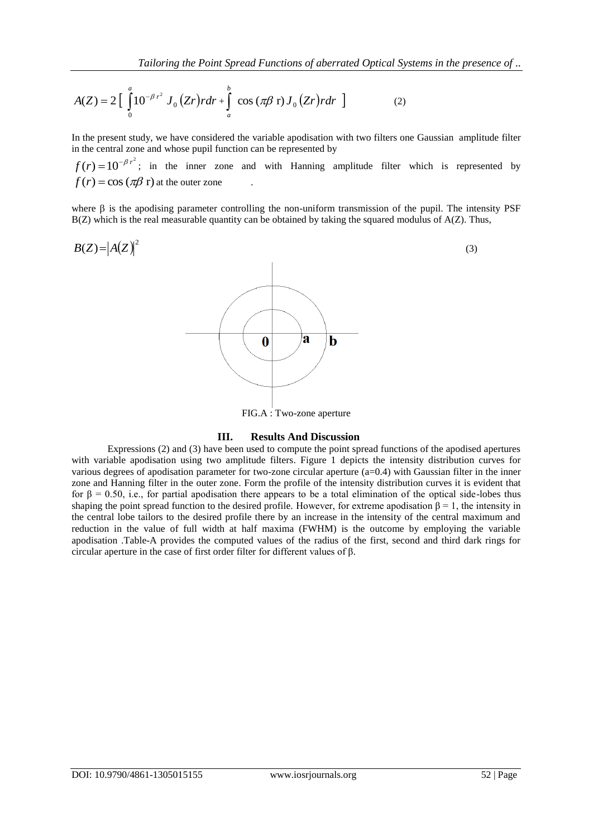$$
A(Z) = 2\left[\int_{0}^{a} 10^{-\beta r^2} J_0(Zr) r dr + \int_{a}^{b} \cos(\pi \beta \, \mathbf{r}) J_0(Zr) r dr \, \right] \tag{2}
$$

In the present study, we have considered the variable apodisation with two filters one Gaussian amplitude filter in the central zone and whose pupil function can be represented by

 $f(r) = 10^{-\beta r^2}$ ; in the inner zone and with Hanning amplitude filter which is represented by  $f(r) = \cos(\pi\beta r)$  at the outer zone .

where  $\beta$  is the apodising parameter controlling the non-uniform transmission of the pupil. The intensity PSF  $B(Z)$  which is the real measurable quantity can be obtained by taking the squared modulus of  $A(Z)$ . Thus,



### **III. Results And Discussion**

Expressions (2) and (3) have been used to compute the point spread functions of the apodised apertures with variable apodisation using two amplitude filters. Figure 1 depicts the intensity distribution curves for various degrees of apodisation parameter for two-zone circular aperture (a=0.4) with Gaussian filter in the inner zone and Hanning filter in the outer zone. Form the profile of the intensity distribution curves it is evident that for β = 0.50, i.e., for partial apodisation there appears to be a total elimination of the optical side-lobes thus shaping the point spread function to the desired profile. However, for extreme apodisation  $\beta = 1$ , the intensity in the central lobe tailors to the desired profile there by an increase in the intensity of the central maximum and reduction in the value of full width at half maxima (FWHM) is the outcome by employing the variable apodisation .Table-A provides the computed values of the radius of the first, second and third dark rings for circular aperture in the case of first order filter for different values of β.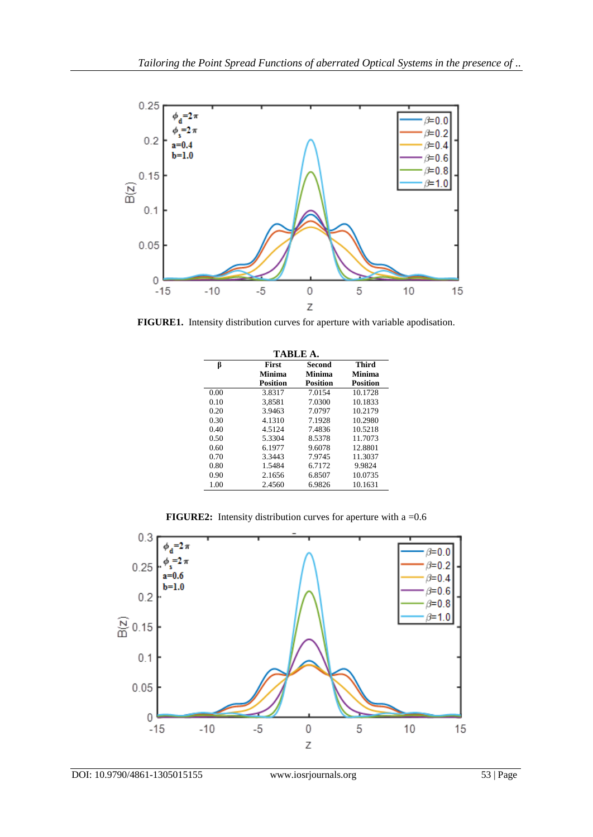

**FIGURE1.** Intensity distribution curves for aperture with variable apodisation.

| <b>TABLE A.</b> |                 |                 |                 |
|-----------------|-----------------|-----------------|-----------------|
| ß               | First           | Second          | Third           |
|                 | Minima          | Minima          | Minima          |
|                 | <b>Position</b> | <b>Position</b> | <b>Position</b> |
| 0.00            | 3.8317          | 7.0154          | 10.1728         |
| 0.10            | 3.8581          | 7.0300          | 10.1833         |
| 0.20            | 3.9463          | 7.0797          | 10.2179         |
| 0.30            | 4.1310          | 7.1928          | 10.2980         |
| 0.40            | 4.5124          | 7.4836          | 10.5218         |
| 0.50            | 5.3304          | 8.5378          | 11.7073         |
| 0.60            | 6.1977          | 9.6078          | 12.8801         |
| 0.70            | 3.3443          | 7.9745          | 11.3037         |
| 0.80            | 1.5484          | 6.7172          | 9.9824          |
| 0.90            | 2.1656          | 6.8507          | 10.0735         |
| 1.00            | 2.4560          | 6.9826          | 10.1631         |

**FIGURE2:** Intensity distribution curves for aperture with a =0.6

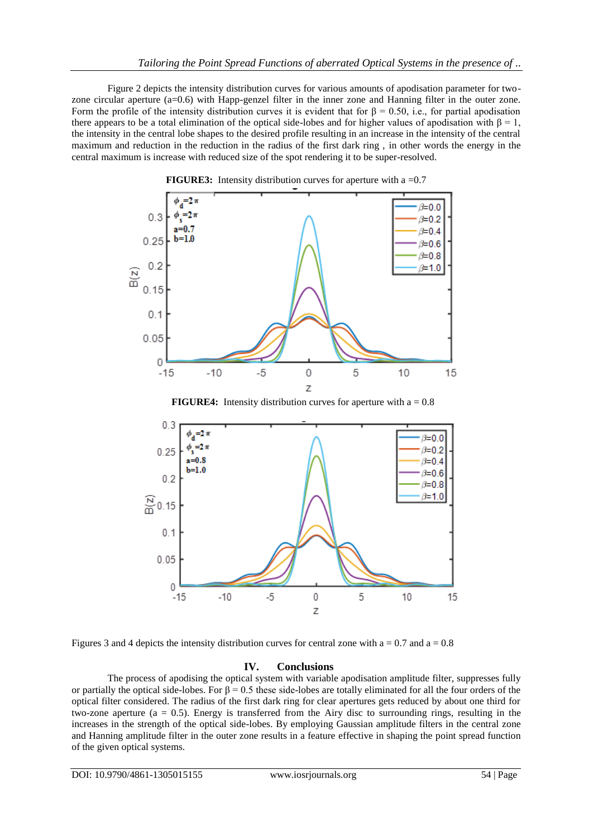Figure 2 depicts the intensity distribution curves for various amounts of apodisation parameter for twozone circular aperture (a=0.6) with Happ-genzel filter in the inner zone and Hanning filter in the outer zone. Form the profile of the intensity distribution curves it is evident that for  $\beta = 0.50$ , i.e., for partial apodisation there appears to be a total elimination of the optical side-lobes and for higher values of apodisation with  $\beta = 1$ , the intensity in the central lobe shapes to the desired profile resulting in an increase in the intensity of the central maximum and reduction in the reduction in the radius of the first dark ring , in other words the energy in the central maximum is increase with reduced size of the spot rendering it to be super-resolved.





Figures 3 and 4 depicts the intensity distribution curves for central zone with  $a = 0.7$  and  $a = 0.8$ 

### **IV. Conclusions**

The process of apodising the optical system with variable apodisation amplitude filter, suppresses fully or partially the optical side-lobes. For  $\beta = 0.5$  these side-lobes are totally eliminated for all the four orders of the optical filter considered. The radius of the first dark ring for clear apertures gets reduced by about one third for two-zone aperture ( $a = 0.5$ ). Energy is transferred from the Airy disc to surrounding rings, resulting in the increases in the strength of the optical side-lobes. By employing Gaussian amplitude filters in the central zone and Hanning amplitude filter in the outer zone results in a feature effective in shaping the point spread function of the given optical systems.

Ζ